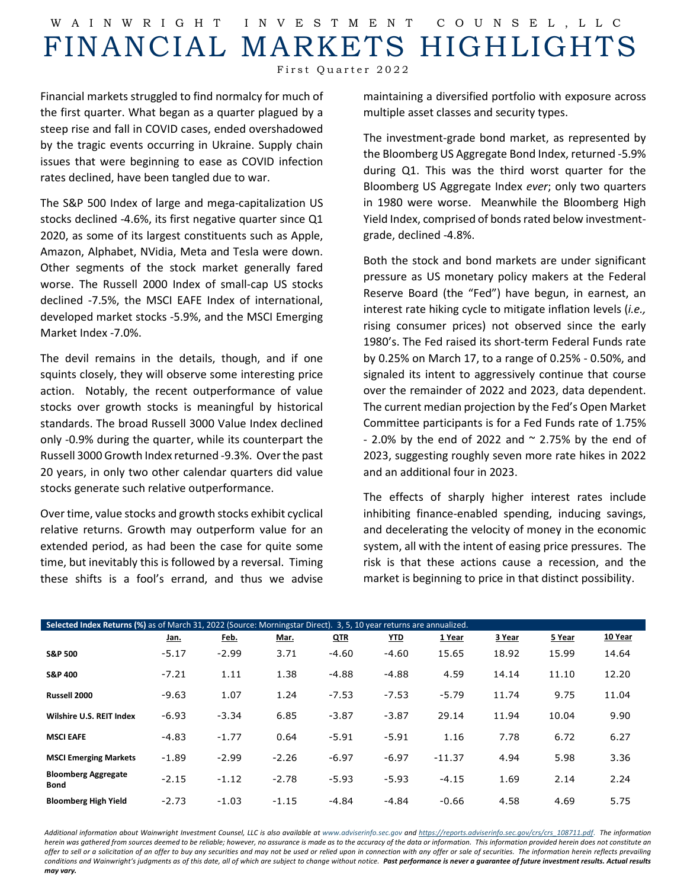## W AINWRIGHT INVESTMENT COUNSEL ,LLC FINANCIAL MARKETS HIGHLIGHTS

First Quarter 2022

Financial markets struggled to find normalcy for much of the first quarter. What began as a quarter plagued by a steep rise and fall in COVID cases, ended overshadowed by the tragic events occurring in Ukraine. Supply chain issues that were beginning to ease as COVID infection rates declined, have been tangled due to war.

The S&P 500 Index of large and mega-capitalization US stocks declined -4.6%, its first negative quarter since Q1 2020, as some of its largest constituents such as Apple, Amazon, Alphabet, NVidia, Meta and Tesla were down. Other segments of the stock market generally fared worse. The Russell 2000 Index of small-cap US stocks declined -7.5%, the MSCI EAFE Index of international, developed market stocks -5.9%, and the MSCI Emerging Market Index -7.0%.

The devil remains in the details, though, and if one squints closely, they will observe some interesting price action. Notably, the recent outperformance of value stocks over growth stocks is meaningful by historical standards. The broad Russell 3000 Value Index declined only -0.9% during the quarter, while its counterpart the Russell 3000 Growth Index returned -9.3%. Overthe past 20 years, in only two other calendar quarters did value stocks generate such relative outperformance.

Over time, value stocks and growth stocks exhibit cyclical relative returns. Growth may outperform value for an extended period, as had been the case for quite some time, but inevitably this is followed by a reversal. Timing these shifts is a fool's errand, and thus we advise maintaining a diversified portfolio with exposure across multiple asset classes and security types.

The investment-grade bond market, as represented by the Bloomberg US Aggregate Bond Index, returned -5.9% during Q1. This was the third worst quarter for the Bloomberg US Aggregate Index *ever*; only two quarters in 1980 were worse. Meanwhile the Bloomberg High Yield Index, comprised of bonds rated below investmentgrade, declined -4.8%.

Both the stock and bond markets are under significant pressure as US monetary policy makers at the Federal Reserve Board (the "Fed") have begun, in earnest, an interest rate hiking cycle to mitigate inflation levels (*i.e.,* rising consumer prices) not observed since the early 1980's. The Fed raised its short-term Federal Funds rate by 0.25% on March 17, to a range of 0.25% - 0.50%, and signaled its intent to aggressively continue that course over the remainder of 2022 and 2023, data dependent. The current median projection by the Fed's Open Market Committee participants is for a Fed Funds rate of 1.75% - 2.0% by the end of 2022 and  $\sim$  2.75% by the end of 2023, suggesting roughly seven more rate hikes in 2022 and an additional four in 2023.

The effects of sharply higher interest rates include inhibiting finance-enabled spending, inducing savings, and decelerating the velocity of money in the economic system, all with the intent of easing price pressures. The risk is that these actions cause a recession, and the market is beginning to price in that distinct possibility.

| Selected Index Returns (%) as of March 31, 2022 (Source: Morningstar Direct). 3, 5, 10 year returns are annualized. |         |         |         |            |            |          |        |        |         |  |
|---------------------------------------------------------------------------------------------------------------------|---------|---------|---------|------------|------------|----------|--------|--------|---------|--|
|                                                                                                                     | Jan.    | Feb.    | Mar.    | <b>QTR</b> | <u>YTD</u> | 1 Year   | 3 Year | 5 Year | 10 Year |  |
| <b>S&amp;P 500</b>                                                                                                  | $-5.17$ | $-2.99$ | 3.71    | $-4.60$    | $-4.60$    | 15.65    | 18.92  | 15.99  | 14.64   |  |
| <b>S&amp;P 400</b>                                                                                                  | $-7.21$ | 1.11    | 1.38    | $-4.88$    | $-4.88$    | 4.59     | 14.14  | 11.10  | 12.20   |  |
| Russell 2000                                                                                                        | $-9.63$ | 1.07    | 1.24    | $-7.53$    | $-7.53$    | $-5.79$  | 11.74  | 9.75   | 11.04   |  |
| Wilshire U.S. REIT Index                                                                                            | $-6.93$ | $-3.34$ | 6.85    | $-3.87$    | $-3.87$    | 29.14    | 11.94  | 10.04  | 9.90    |  |
| <b>MSCI EAFE</b>                                                                                                    | $-4.83$ | $-1.77$ | 0.64    | $-5.91$    | $-5.91$    | 1.16     | 7.78   | 6.72   | 6.27    |  |
| <b>MSCI Emerging Markets</b>                                                                                        | $-1.89$ | $-2.99$ | $-2.26$ | $-6.97$    | $-6.97$    | $-11.37$ | 4.94   | 5.98   | 3.36    |  |
| <b>Bloomberg Aggregate</b><br><b>Bond</b>                                                                           | $-2.15$ | $-1.12$ | $-2.78$ | $-5.93$    | $-5.93$    | $-4.15$  | 1.69   | 2.14   | 2.24    |  |
| <b>Bloomberg High Yield</b>                                                                                         | $-2.73$ | $-1.03$ | $-1.15$ | $-4.84$    | $-4.84$    | $-0.66$  | 4.58   | 4.69   | 5.75    |  |

*Additional information about Wainwright Investment Counsel, LLC is also available a[t www.adviserinfo.sec.gov](http://www.adviserinfo.sec.gov/) and https://reports.adviserinfo.sec.gov/crs/crs\_108711.pdf*. *The information*  herein was gathered from sources deemed to be reliable; however, no assurance is made as to the accuracy of the data or information. This information provided herein does not constitute an *offer to sell or a solicitation of an offer to buy any securities and may not be used or relied upon in connection with any offer or sale of securities. The information herein reflects prevailing*  conditions and Wainwright's judgments as of this date, all of which are subject to change without notice. Past performance is never a guarantee of future investment results. Actual results *may vary.*